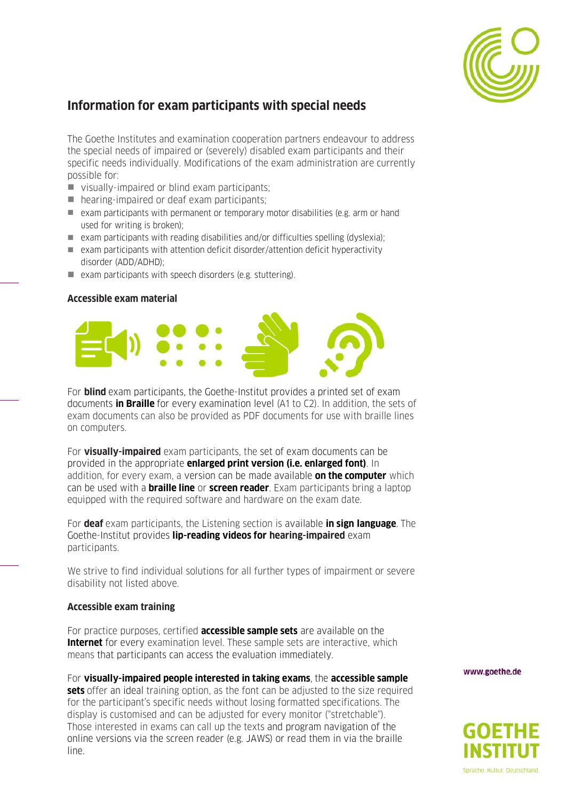

## **Information for exam participants with special needs**

The Goethe Institutes and examination cooperation partners endeavour to address the special needs of impaired or (severely) disabled exam participants and their specific needs individually. Modifications of the exam administration are currently possible for:

- visually-impaired or blind exam participants;
- hearing-impaired or deaf exam participants;
- exam participants with permanent or temporary motor disabilities (e.g. arm or hand used for writing is broken);
- $\blacksquare$  exam participants with reading disabilities and/or difficulties spelling (dyslexia);
- $\blacksquare$  exam participants with attention deficit disorder/attention deficit hyperactivity disorder (ADD/ADHD);
- exam participants with speech disorders (e.g. stuttering).

## **Accessible exam material**



For **blind** exam participants, the Goethe-Institut provides a printed set of exam documents **in Braille** for every examination level (A1 to C2). In addition, the sets of exam documents can also be provided as PDF documents for use with braille lines on computers.

For **visually-impaired** exam participants, the set of exam documents can be provided in the appropriate **enlarged print version (i.e. enlarged font)**. In addition, for every exam, a version can be made available **on the computer** which can be used with a **braille line** or **screen reader**. Exam participants bring a laptop equipped with the required software and hardware on the exam date.

For **deaf** exam participants, the Listening section is available **in sign language**. The Goethe-Institut provides **lip-reading videos for hearing-impaired** exam participants.

We strive to find individual solutions for all further types of impairment or severe disability not listed above.

## **Accessible exam training**

For practice purposes, certified **accessible sample sets** are available on the **Internet** for every examination level. These sample sets are interactive, which means that participants can access the evaluation immediately.

For **visually-impaired people interested in taking exams**, the **accessible sample sets** offer an ideal training option, as the font can be adjusted to the size required for the participant's specific needs without losing formatted specifications. The display is customised and can be adjusted for every monitor ("stretchable"). Those interested in exams can call up the texts and program navigation of the online versions via the screen reader (e.g. JAWS) or read them in via the braille line.

www.goethe.de